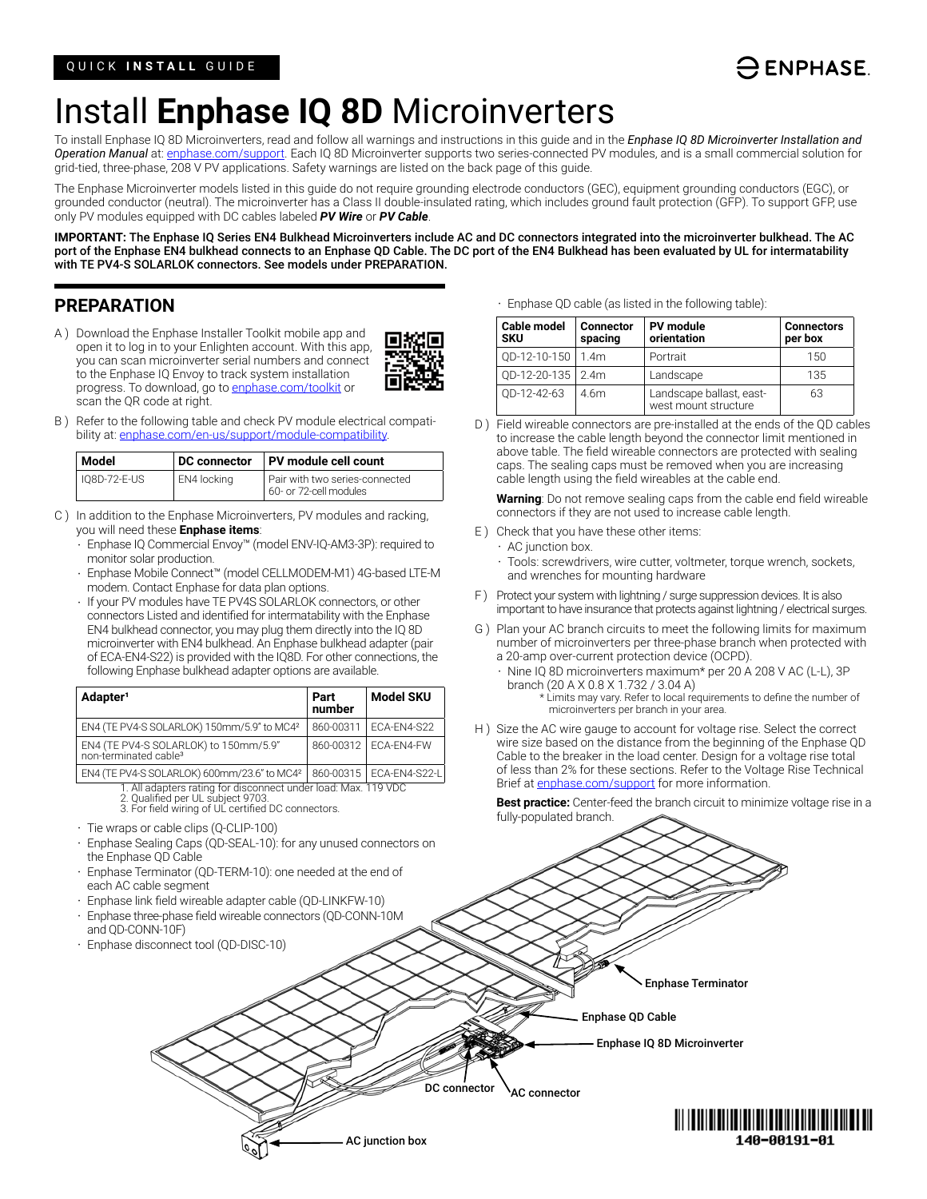# $\ominus$  ENPHASE.

# Install **Enphase IQ 8D** Microinverters

To install Enphase IQ 8D Microinverters, read and follow all warnings and instructions in this guide and in the *Enphase IQ 8D Microinverter Installation and Operation Manual* at: enphase.com/support. Each IQ 8D Microinverter supports two series-connected PV modules, and is a small commercial solution for grid-tied, three-phase, 208 V PV applications. Safety warnings are listed on the back page of this guide.

The Enphase Microinverter models listed in this guide do not require grounding electrode conductors (GEC), equipment grounding conductors (EGC), or grounded conductor (neutral). The microinverter has a Class II double-insulated rating, which includes ground fault protection (GFP). To support GFP, use only PV modules equipped with DC cables labeled *PV Wire* or *PV Cable*.

**IMPORTANT:** The Enphase IQ Series EN4 Bulkhead Microinverters include AC and DC connectors integrated into the microinverter bulkhead. The AC port of the Enphase EN4 bulkhead connects to an Enphase QD Cable. The DC port of the EN4 Bulkhead has been evaluated by UL for intermatability with TE PV4-S SOLARLOK connectors. See models under PREPARATION.

DC connector

AC junction box

AC connector

### **PREPARATION**

A ) Download the Enphase Installer Toolkit mobile app and open it to log in to your Enlighten account. With this app, you can scan microinverter serial numbers and connect to the Enphase IQ Envoy to track system installation progress. To download, go to enphase.com/toolkit or scan the QR code at right.



B ) Refer to the following table and check PV module electrical compatibility at: enphase.com/en-us/support/module-compatibility.

| Model        |             | DC connector   PV module cell count                      |
|--------------|-------------|----------------------------------------------------------|
| 108D-72-E-US | EN4 locking | Pair with two series-connected<br>60- or 72-cell modules |

- C ) In addition to the Enphase Microinverters, PV modules and racking, you will need these **Enphase items**:
	- Enphase IQ Commercial Envoy™ (model ENV-IQ-AM3-3P): required to monitor solar production.
	- Enphase Mobile Connect™ (model CELLMODEM-M1) 4G-based LTE-M modem. Contact Enphase for data plan options.
	- If your PV modules have TE PV4S SOLARLOK connectors, or other connectors Listed and identified for intermatability with the Enphase EN4 bulkhead connector, you may plug them directly into the IQ 8D microinverter with EN4 bulkhead. An Enphase bulkhead adapter (pair of ECA-EN4-S22) is provided with the IQ8D. For other connections, the following Enphase bulkhead adapter options are available.

| Adapter <sup>1</sup>                                                       | Part<br>number | Model SKU               |
|----------------------------------------------------------------------------|----------------|-------------------------|
| EN4 (TE PV4-S SOLARLOK) 150mm/5.9" to MC42                                 |                | 860-00311   FCA-FN4-S22 |
| EN4 (TE PV4-S SOLARLOK) to 150mm/5.9"<br>non-terminated cable <sup>3</sup> |                | 860-00312   ECA-EN4-FW  |

EN4 (TE PV4-S SOLARLOK) 600mm/23.6" to MC4<sup>2</sup> 860-00315 | ECA-EN4-S22-L 1. All adapters rating for disconnect under load: Max. 119 VDC 2. Qualified per UL subject 9703.

- 3. For field wiring of UL certified DC connectors.
- Tie wraps or cable clips (Q-CLIP-100)
- Enphase Sealing Caps (QD-SEAL-10): for any unused connectors on the Enphase QD Cable
- Enphase Terminator (QD-TERM-10): one needed at the end of each AC cable segment
- Enphase link field wireable adapter cable (QD-LINKFW-10)
- Enphase three-phase field wireable connectors (QD-CONN-10M
- and QD-CONN-10F)
- Enphase disconnect tool (QD-DISC-10)

• Enphase QD cable (as listed in the following table):

| <b>Cable model</b><br><b>SKU</b> | <b>Connector</b><br>spacing | <b>PV</b> module<br>orientation                  | <b>Connectors</b><br>per box |
|----------------------------------|-----------------------------|--------------------------------------------------|------------------------------|
| QD-12-10-150   1.4m              |                             | Portrait                                         | 150                          |
| OD-12-20-135 2.4m                |                             | Landscape                                        | 135                          |
| OD-12-42-63                      | 4.6m                        | Landscape ballast, east-<br>west mount structure | 63                           |

D ) Field wireable connectors are pre-installed at the ends of the QD cables to increase the cable length beyond the connector limit mentioned in above table. The field wireable connectors are protected with sealing caps. The sealing caps must be removed when you are increasing cable length using the field wireables at the cable end.

**Warning**: Do not remove sealing caps from the cable end field wireable connectors if they are not used to increase cable length.

- E ) Check that you have these other items:
	- AC junction box.

• Tools: screwdrivers, wire cutter, voltmeter, torque wrench, sockets, and wrenches for mounting hardware

- F ) Protect your system with lightning / surge suppression devices. It is also important to have insurance that protects against lightning / electrical surges.
- G ) Plan your AC branch circuits to meet the following limits for maximum number of microinverters per three-phase branch when protected with a 20-amp over-current protection device (OCPD).
	- Nine IQ 8D microinverters maximum\* per 20 A 208 V AC (L-L), 3P branch (20 A X 0.8 X 1.732 / 3.04 A) \* Limits may vary. Refer to local requirements to define the number of microinverters per branch in your area.
- H ) Size the AC wire gauge to account for voltage rise. Select the correct wire size based on the distance from the beginning of the Enphase QD Cable to the breaker in the load center. Design for a voltage rise total of less than 2% for these sections. Refer to the Voltage Rise Technical Brief at enphase.com/support for more information.

Enphase IQ 8D Microinverter

Enphase QD Cable

Enphase Terminator

**Best practice:** Center-feed the branch circuit to minimize voltage rise in a fully-populated branch.

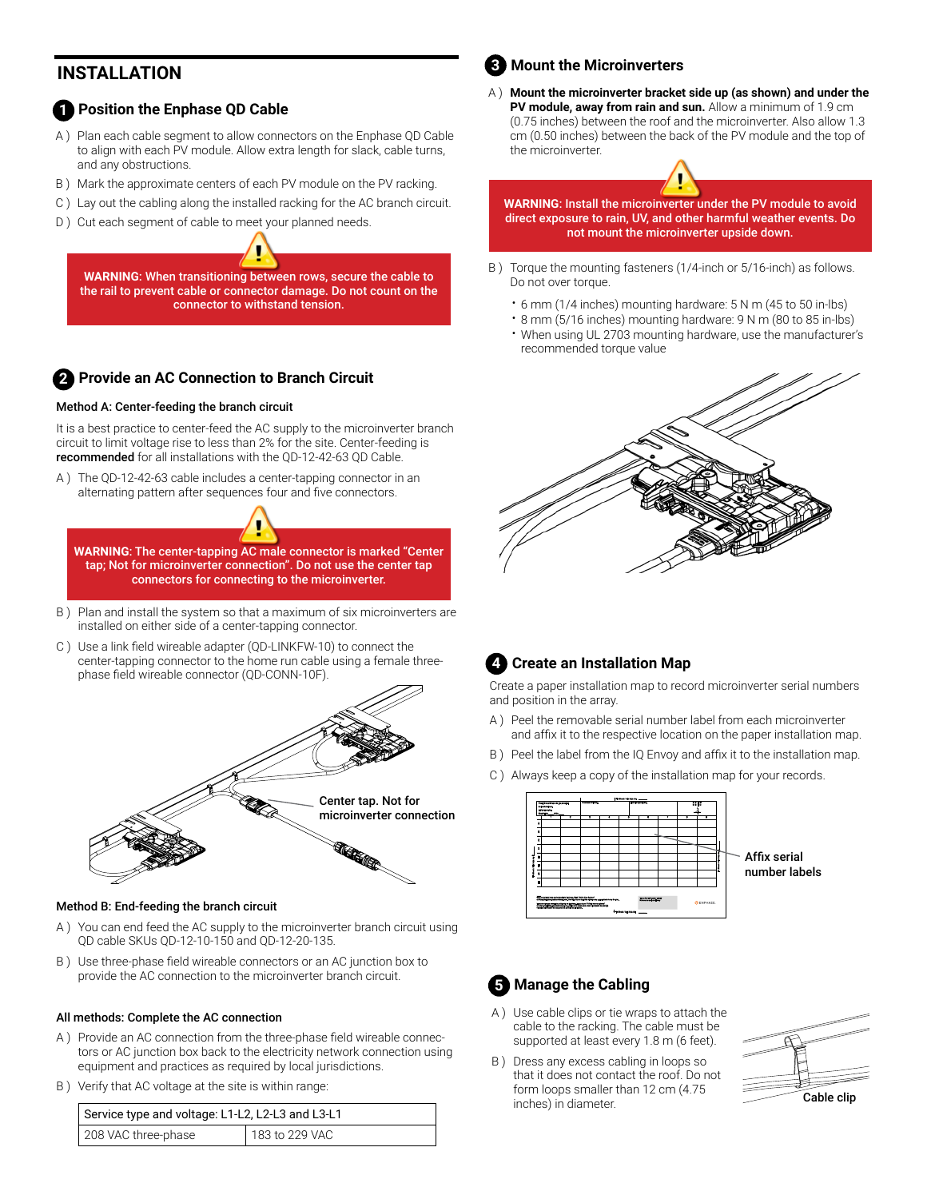## **INSTALLATION**

#### **1** Position the Enphase QD Cable

- A ) Plan each cable segment to allow connectors on the Enphase QD Cable to align with each PV module. Allow extra length for slack, cable turns, and any obstructions.
- B ) Mark the approximate centers of each PV module on the PV racking.
- C ) Lay out the cabling along the installed racking for the AC branch circuit.
- D) Cut each segment of cable to meet your planned needs.

**WARNING**: When transitioning between rows, secure the cable to the rail to prevent cable or connector damage. Do not count on the connector to withstand tension.

## **Provide an AC Connection to Branch Circuit 2**

#### Method A: Center-feeding the branch circuit

It is a best practice to center-feed the AC supply to the microinverter branch circuit to limit voltage rise to less than 2% for the site. Center-feeding is recommended for all installations with the QD-12-42-63 QD Cable.

The QD-12-42-63 cable includes a center-tapping connector in an alternating pattern after sequences four and five connectors.

**WARNING**: The center-tapping AC male connector is marked "Center tap; Not for microinverter connection". Do not use the center tap connectors for connecting to the microinverter.

- B ) Plan and install the system so that a maximum of six microinverters are installed on either side of a center-tapping connector.
- C ) Use a link field wireable adapter (QD-LINKFW-10) to connect the center-tapping connector to the home run cable using a female threephase field wireable connector (QD-CONN-10F).



#### Method B: End-feeding the branch circuit

- A ) You can end feed the AC supply to the microinverter branch circuit using QD cable SKUs QD-12-10-150 and QD-12-20-135.
- B ) Use three-phase field wireable connectors or an AC junction box to provide the AC connection to the microinverter branch circuit.

#### All methods: Complete the AC connection

- A ) Provide an AC connection from the three-phase field wireable connectors or AC junction box back to the electricity network connection using equipment and practices as required by local jurisdictions.
- B ) Verify that AC voltage at the site is within range:

| Service type and voltage: L1-L2, L2-L3 and L3-L1 |                |
|--------------------------------------------------|----------------|
| 208 VAC three-phase                              | 183 to 229 VAC |

#### **Mount the Microinverters 3**

A ) **Mount the microinverter bracket side up (as shown) and under the PV module, away from rain and sun.** Allow a minimum of 1.9 cm (0.75 inches) between the roof and the microinverter. Also allow 1.3 cm (0.50 inches) between the back of the PV module and the top of the microinverter.

**WARNING**: Install the microinverter under the PV module to avoid direct exposure to rain, UV, and other harmful weather events. Do not mount the microinverter upside down.

- B ) Torque the mounting fasteners (1/4-inch or 5/16-inch) as follows. Do not over torque.
	- 6 mm (1/4 inches) mounting hardware: 5 N m (45 to 50 in-lbs)
	- 8 mm (5/16 inches) mounting hardware: 9 N m (80 to 85 in-lbs)
	- When using UL 2703 mounting hardware, use the manufacturer's recommended torque value





Create a paper installation map to record microinverter serial numbers and position in the array.

- A ) Peel the removable serial number label from each microinverter and affix it to the respective location on the paper installation map.
- B ) Peel the label from the IQ Envoy and affix it to the installation map.
- C ) Always keep a copy of the installation map for your records.



### **5** Manage the Cabling

- A ) Use cable clips or tie wraps to attach the cable to the racking. The cable must be supported at least every 1.8 m (6 feet).
- B ) Dress any excess cabling in loops so that it does not contact the roof. Do not form loops smaller than 12 cm (4.75 inches) in diameter.

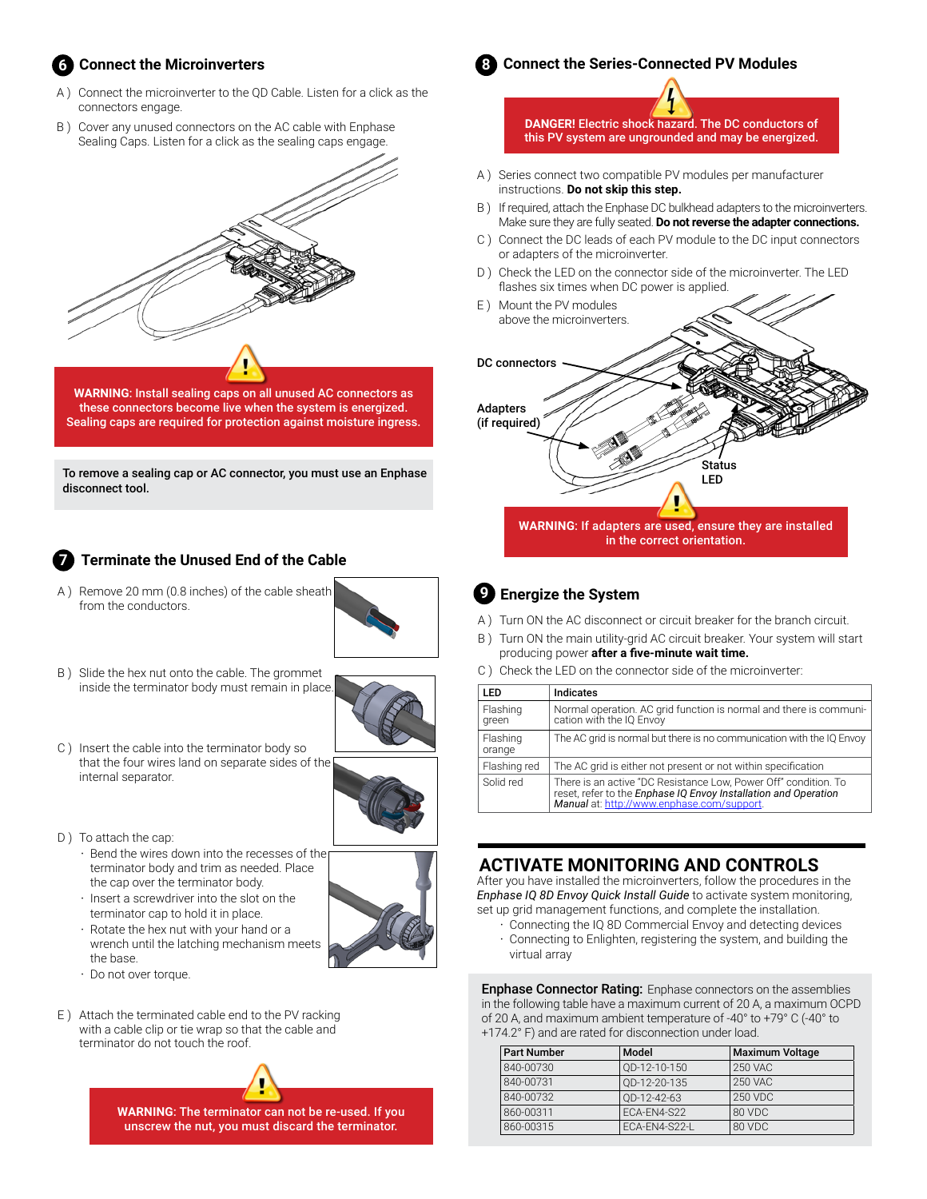# **Connect the Microinverters 6**

- A ) Connect the microinverter to the QD Cable. Listen for a click as the connectors engage.
- B ) Cover any unused connectors on the AC cable with Enphase Sealing Caps. Listen for a click as the sealing caps engage.



**WARNING**: Install sealing caps on all unused AC connectors as these connectors become live when the system is energized. Sealing caps are required for protection against moisture ingress.

To remove a sealing cap or AC connector, you must use an Enphase disconnect tool.

#### **Terminate the Unused End of the Cable 7**

A ) Remove 20 mm (0.8 inches) of the cable sheath from the conductors.



B ) Slide the hex nut onto the cable. The grommet inside the terminator body must remain in place.



C ) Insert the cable into the terminator body so that the four wires land on separate sides of the internal separator.



- D) To attach the cap:
	- Bend the wires down into the recesses of the terminator body and trim as needed. Place the cap over the terminator body.
	- Insert a screwdriver into the slot on the terminator cap to hold it in place.
	- Rotate the hex nut with your hand or a wrench until the latching mechanism meets the base.
	- Do not over torque.
- E ) Attach the terminated cable end to the PV racking with a cable clip or tie wrap so that the cable and terminator do not touch the roof.

**WARNING**: The terminator can not be re-used. If you unscrew the nut, you must discard the terminator.



**DANGER!** Electric shock hazard. The DC conductors of this PV system are ungrounded and may be energized.

- A ) Series connect two compatible PV modules per manufacturer instructions. **Do not skip this step.**
- B ) If required, attach the Enphase DC bulkhead adapters to the microinverters. Make sure they are fully seated. **Do not reverse the adapter connections.**
- C ) Connect the DC leads of each PV module to the DC input connectors or adapters of the microinverter.
- D ) Check the LED on the connector side of the microinverter. The LED flashes six times when DC power is applied.
- E ) Mount the PV modules above the microinverters.



# **Energize the System 9**

- A ) Turn ON the AC disconnect or circuit breaker for the branch circuit.
- B ) Turn ON the main utility-grid AC circuit breaker. Your system will start producing power **after a five-minute wait time.**
- C ) Check the LED on the connector side of the microinverter:

| LED                | <b>Indicates</b>                                                                                                                                                                 |
|--------------------|----------------------------------------------------------------------------------------------------------------------------------------------------------------------------------|
| Flashing<br>green  | Normal operation. AC grid function is normal and there is communi-<br>cation with the IQ Envoy                                                                                   |
| Flashing<br>orange | The AC grid is normal but there is no communication with the IQ Envoy                                                                                                            |
| Flashing red       | The AC grid is either not present or not within specification                                                                                                                    |
| Solid red          | There is an active "DC Resistance Low, Power Off" condition. To<br>reset, refer to the Enphase IQ Envoy Installation and Operation<br>Manual at: http://www.enphase.com/support. |

# **ACTIVATE MONITORING AND CONTROLS**

After you have installed the microinverters, follow the procedures in the *Enphase IQ 8D Envoy Quick Install Guide* to activate system monitoring, set up grid management functions, and complete the installation.

• Connecting the IQ 8D Commercial Envoy and detecting devices • Connecting to Enlighten, registering the system, and building the virtual array

**Enphase Connector Rating:** Enphase connectors on the assemblies in the following table have a maximum current of 20 A, a maximum OCPD of 20 A, and maximum ambient temperature of -40° to +79° C (-40° to +174.2° F) and are rated for disconnection under load.

| <b>Part Number</b> | Model         | <b>Maximum Voltage</b> |
|--------------------|---------------|------------------------|
| 840-00730          | OD-12-10-150  | <b>250 VAC</b>         |
| 840-00731          | OD-12-20-135  | <b>250 VAC</b>         |
| 840-00732          | OD-12-42-63   | 250 VDC                |
| 860-00311          | ECA-EN4-S22   | 80 VDC                 |
| 860-00315          | ECA-EN4-S22-L | 80 VDC                 |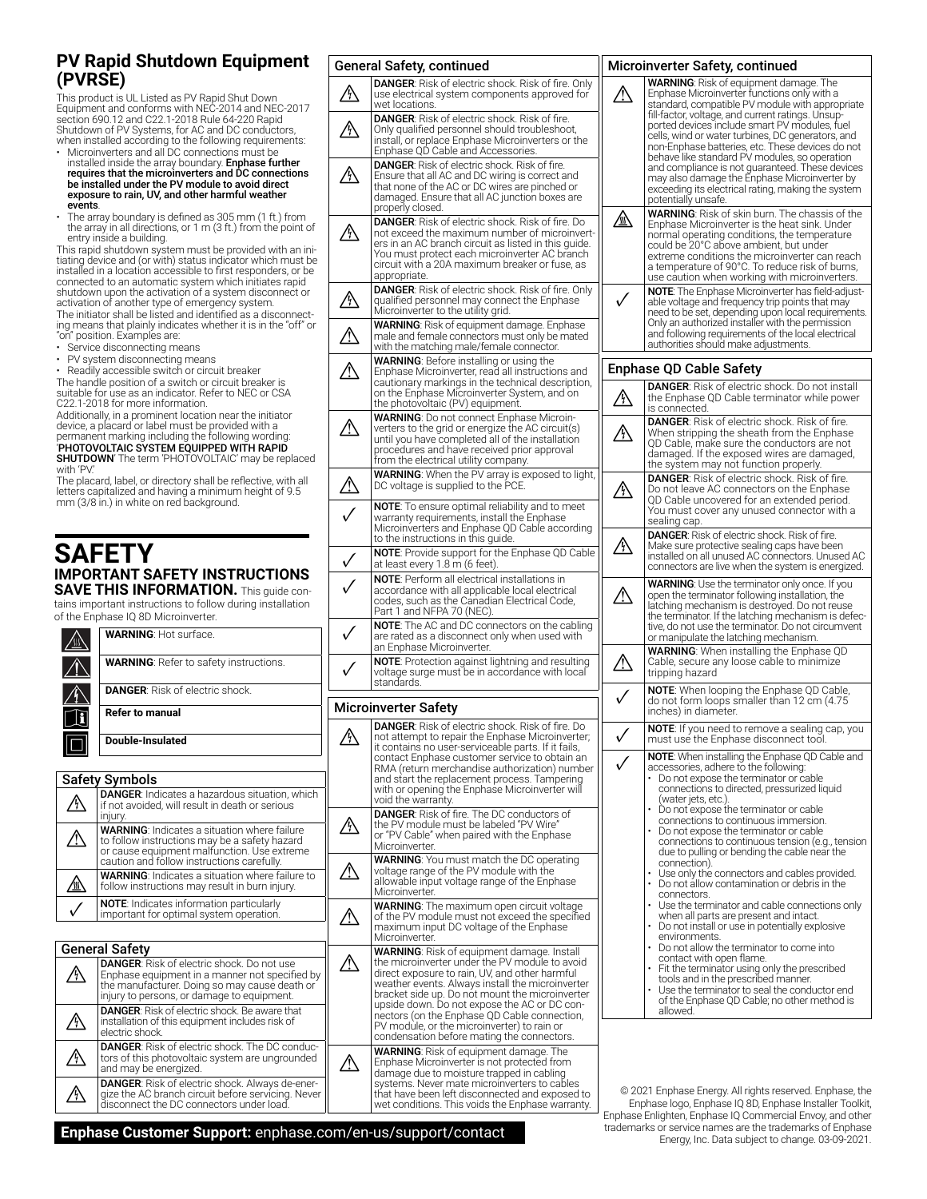### **PV Rapid Shutdown Equipment (PVRSE)**

This product is UL Listed as PV Rapid Shut Down Equipment and conforms with NEC-2014 and NEC-2017 section 690.12 and C22.1-2018 Rule 64-220 Rapid Shutdown of PV Systems, for AC and DC conductors, when installed according to the following requirements:

- Microinverters and all DC connections must be installed inside the array boundary. **Enphase further**<br>requires that the microinverters and DC connections be installed under the PV module to avoid direct exposure to rain, UV, and other harmful weather events.
- The array boundary is defined as 305 mm (1 ft.) from the array in all directions, or 1 m (3 ft.) from the point of entry inside a building.

This rapid shutdown system must be provided with an initiating device and (or with) status indicator which must be installed in a location accessible to first responders, or be connected to an automatic system which initiates rapid shutdown upon the activation of a system disconnect or activation of another type of emergency system. The initiator shall be listed and identified as a disconnecting means that plainly indicates whether it is in the "off" or

- "on" position. Examples are:
- Service disconnecting means PV system disconnecting means

• Readily accessible switch or circuit breaker

The handle position of a switch or circuit breaker is suitable for use as an indicator. Refer to NEC or CSA C22.1-2018 for more information.

Additionally, in a prominent location near the initiator device, a placard or label must be provided with a permanent marking including the following wording: 'PHOTOVOLTAIC SYSTEM EQUIPPED WITH RAPID SHUTDOWN' The term 'PHOTOVOLTAIC' may be replaced with 'PV.'

The placard, label, or directory shall be reflective, with all letters capitalized and having a minimum height of 9.5 mm (3/8 in.) in white on red background.

## **SAFETY IMPORTANT SAFETY INSTRUCTIONS SAVE THIS INFORMATION.** This guide con-

tains important instructions to follow during installation of the Enphase IQ 8D Microinverter.

| <b>WARNING: Hot surface.</b>                  |
|-----------------------------------------------|
| <b>WARNING: Refer to safety instructions.</b> |
| <b>DANGER:</b> Risk of electric shock.        |
| <b>Refer to manual</b>                        |
| <b>Double-Insulated</b>                       |
|                                               |
| <b>Safety Symbols</b>                         |

|    | <b>DANGER:</b> Indicates a hazardous situation, which<br>if not avoided, will result in death or serious<br>injury.                                                                               |
|----|---------------------------------------------------------------------------------------------------------------------------------------------------------------------------------------------------|
| /! | <b>WARNING:</b> Indicates a situation where failure<br>to follow instructions may be a safety hazard<br>or cause equipment malfunction. Use extreme<br>caution and follow instructions carefully. |
|    | <b>WARNING:</b> Indicates a situation where failure to<br>follow instructions may result in burn injury.                                                                                          |
|    | <b>NOTE:</b> Indicates information particularly<br>important for optimal system operation.                                                                                                        |

| <b>General Safety</b>                                                                                                                                                                              |
|----------------------------------------------------------------------------------------------------------------------------------------------------------------------------------------------------|
| <b>DANGER:</b> Risk of electric shock. Do not use<br>Enphase equipment in a manner not specified by<br>the manufacturer. Doing so may cause death or<br>injury to persons, or damage to equipment. |
| <b>DANGER:</b> Risk of electric shock. Be aware that<br>installation of this equipment includes risk of<br>electric shock.                                                                         |
| <b>DANGER:</b> Risk of electric shock. The DC conduc-<br>tors of this photovoltaic system are ungrounded<br>and may be energized.                                                                  |
| <b>DANGER:</b> Risk of electric shock. Always de-ener-<br>gize the AC branch circuit before servicing. Never<br>disconnect the DC connectors under load.                                           |

|           | <b>General Safety, continued</b>                                                                                                                                                                                                                                                                                                                                                                                                                   | I |
|-----------|----------------------------------------------------------------------------------------------------------------------------------------------------------------------------------------------------------------------------------------------------------------------------------------------------------------------------------------------------------------------------------------------------------------------------------------------------|---|
| ŋ,        | DANGER: Risk of electric shock. Risk of fire. Only<br>use electrical system components approved for<br>wet locations.                                                                                                                                                                                                                                                                                                                              |   |
|           | <b>DANGER:</b> Risk of electric shock. Risk of fire.<br>Only qualified personnel should troubleshoot,<br>install, or replace Enphase Microinverters or the<br>Enphase QD Cable and Accessories.                                                                                                                                                                                                                                                    |   |
| Ţ         | <b>DANGER:</b> Risk of electric shock. Risk of fire.<br>Ensure that all AC and DC wiring is correct and<br>that none of the AC or DC wires are pinched or<br>damaged. Ensure that all AC junction boxes are<br>properly closed.                                                                                                                                                                                                                    |   |
| Ą,        | <b>DANGER:</b> Risk of electric shock. Risk of fire. Do<br>not exceed the maximum number of microinvert-<br>ers in an AC branch circuit as listed in this quide.<br>You must protect each microinverter AC branch<br>circuit with a 20A maximum breaker or fuse, as<br>appropriate.                                                                                                                                                                |   |
| <u>/\</u> | <b>DANGER:</b> Risk of electric shock. Risk of fire. Only<br>qualified personnel may connect the Enphase<br>Microinverter to the utility grid.                                                                                                                                                                                                                                                                                                     |   |
|           | <b>WARNING:</b> Risk of equipment damage. Enphase<br>male and female connectors must only be mated<br>with the matching male/female connector.                                                                                                                                                                                                                                                                                                     |   |
|           | WARNING: Before installing or using the<br>Enphase Microinverter, read all instructions and<br>cautionary markings in the technical description,<br>on the Enphase Microinverter System, and on<br>the photovoltaic (PV) equipment.                                                                                                                                                                                                                | I |
| Λ         | <b>WARNING:</b> Do not connect Enphase Microin-<br>verters to the grid or energize the AC circuit(s)<br>until you have completed all of the installation<br>procedures and have received prior approval<br>from the electrical utility company.                                                                                                                                                                                                    |   |
|           | WARNING: When the PV array is exposed to light,<br>DC voltage is supplied to the PCE.                                                                                                                                                                                                                                                                                                                                                              |   |
|           | <b>NOTE</b> : To ensure optimal reliability and to meet<br>warranty requirements, install the Enphase<br>Microinverters and Enphase QD Cable according<br>to the instructions in this guide.                                                                                                                                                                                                                                                       |   |
|           | <b>NOTE:</b> Provide support for the Enphase QD Cable<br>at least every 1.8 m (6 feet).                                                                                                                                                                                                                                                                                                                                                            |   |
|           | NOTE: Perform all electrical installations in<br>accordance with all applicable local electrical<br>codes, such as the Canadian Electrical Code,<br>Part 1 and NFPA 70 (NEC).                                                                                                                                                                                                                                                                      |   |
|           | NOTE: The AC and DC connectors on the cabling<br>are rated as a disconnect only when used with<br>an Enphase Microinverter.                                                                                                                                                                                                                                                                                                                        |   |
|           | <b>NOTE</b> : Protection against lightning and resulting<br>voltage surge must be in accordance with local<br>standards.                                                                                                                                                                                                                                                                                                                           |   |
|           | <b>Microinverter Safety</b>                                                                                                                                                                                                                                                                                                                                                                                                                        |   |
| ⚠         | <b>DANGER:</b> Risk of electric shock. Risk of fire. Do<br>not attempt to repair the Enphase Microinverteı<br>it contains no user-serviceable parts. If it fails,<br>contact Enphase customer service to obtain an<br>RMA (return merchandise authorization) number<br>and start the replacement process. Tampering<br>with or opening the Enphase Microinverter will<br>void the warranty.                                                        |   |
| ∕∖∖       | <b>DANGER:</b> Risk of fire. The DC conductors of<br>the PV module must be labeled "PV Wire"<br>or "PV Cable" when paired with the Enphase<br>Microinverter.                                                                                                                                                                                                                                                                                       |   |
|           | WARNING: You must match the DC operating<br>voltage range of the PV module with the<br>allowable input voltage range of the Enphase<br>Microinverter.                                                                                                                                                                                                                                                                                              |   |
|           | <b>WARNING:</b> The maximum open circuit voltage<br>of the PV module must not exceed the specified<br>maximum input DC voltage of the Enphase<br>Microinverter.                                                                                                                                                                                                                                                                                    |   |
|           | WARNING: Risk of equipment damage. Install<br>the microinverter under the PV module to avoid<br>direct exposure to rain, UV, and other harmful<br>weather events. Always install the microinverter<br>bracket side up. Do not mount the microinverter<br>upside down. Do not expose the AC or DC con-<br>nectors (on the Enphase QD Cable connection,<br>PV module, or the microinverter) to rain or<br>condensation before mating the connectors. |   |
|           | <b>WARNING:</b> Risk of equipment damage. The<br>Enphase Microinverter is not protected from<br>damage due to moisture trapped in cabling<br>systems. Never mate microinverters to cables                                                                                                                                                                                                                                                          |   |

that have been left disconnected and exposed to wet conditions. This voids the Enphase warranty.

|    | Microinverter Safety, continued                                                                                                                                                                                                                                                                                                                                                         |
|----|-----------------------------------------------------------------------------------------------------------------------------------------------------------------------------------------------------------------------------------------------------------------------------------------------------------------------------------------------------------------------------------------|
|    | <b>WARNING:</b> Risk of equipment damage. The<br>Enphase Microinverter functions only with a<br>standard, compatible PV module with appropriate<br>fill-factor, voltage, and current ratings. Unsup-                                                                                                                                                                                    |
|    | ported devices include smart PV modules, fuel<br>cells, wind or water turbines, DC generators, and<br>non-Enphase batteries, etc. These devices do not<br>behave like standard PV modules, so operation<br>and compliance is not guaranteed. These devices<br>may also damage the Enphase Microinverter by<br>exceeding its electrical rating, making the system<br>potentially unsafe. |
| ⚠  | WARNING: Risk of skin burn. The chassis of the<br>Enphase Microinverter is the heat sink. Under<br>normal operating conditions, the temperature<br>could be 20°C above ambient, but under<br>extreme conditions the microinverter can reach<br>a temperature of 90°C. To reduce risk of burns,<br>use caution when working with microinverters.                                         |
|    | <b>NOTE:</b> The Enphase Microinverter has field-adjust-<br>able voltage and frequency trip points that may<br>need to be set, depending upon local requirements.<br>Only an authorized installer with the permission<br>and following requirements of the local electrical<br>authorities should make adjustments.                                                                     |
|    | Enphase QD Cable Safety                                                                                                                                                                                                                                                                                                                                                                 |
|    | DANGER: Risk of electric shock. Do not install<br>the Enphase QD Cable terminator while power<br>is connected.                                                                                                                                                                                                                                                                          |
|    | <b>DANGER:</b> Risk of electric shock. Risk of fire.<br>When stripping the sheath from the Enphase<br>QD Cable, make sure the conductors are not<br>damaged. If the exposed wires are damaged,<br>the system may not function properly.                                                                                                                                                 |
| Ą, | <b>DANGER:</b> Risk of electric shock. Risk of fire.<br>Do not leave AC connectors on the Enphase<br>QD Cable uncovered for an extended period.<br>You must cover any unused connector with a<br>sealing cap.                                                                                                                                                                           |
| ⁄\ | <b>DANGER:</b> Risk of electric shock. Risk of fire.<br>Make sure protective sealing caps have been<br>installed on all unused AC connectors. Unused AC<br>connectors are live when the system is energized.                                                                                                                                                                            |
|    | WARNING: Use the terminator only once. If you<br>open the terminator following installation, the<br>latching mechanism is destroyed. Do not reuse<br>the terminator. If the latching mechanism is defec-<br>tive, do not use the terminator. Do not circumvent<br>or manipulate the latching mechanism.                                                                                 |
|    | <b>WARNING:</b> When installing the Enphase QD<br>Cable, secure any loose cable to minimize<br>tripping hazard                                                                                                                                                                                                                                                                          |
|    | <b>NOTE</b> : When looping the Enphase QD Cable,<br>do not form loops smaller than 12 cm (4.75)<br>inches) in diameter.                                                                                                                                                                                                                                                                 |
|    | NOTE: If you need to remove a sealing cap, you<br>must use the Enphase disconnect tool.                                                                                                                                                                                                                                                                                                 |
|    | <b>NOTE:</b> When installing the Enphase QD Cable and<br>accessories, adhere to the following:<br>Do not expose the terminator or cable<br>connections to directed, pressurized liquid<br>(water jets, etc.).<br>Do not expose the terminator or cable<br>connections to continuous immersion.                                                                                          |
|    | Do not expose the terminator or cable<br>connections to continuous tension (e.g., tension<br>due to pulling or bending the cable near the<br>connection).<br>Use only the connectors and cables provided.<br>Do not allow contamination or debris in the                                                                                                                                |
|    | connectors.<br>Use the terminator and cable connections only<br>when all parts are present and intact.<br>Do not install or use in potentially explosive                                                                                                                                                                                                                                |
|    | environments.<br>Do not allow the terminator to come into<br>contact with open flame.<br>Fit the terminator using only the prescribed<br>tools and in the prescribed manner.                                                                                                                                                                                                            |
|    | Use the terminator to seal the conductor end<br>of the Enphase QD Cable; no other method is<br>allowed.                                                                                                                                                                                                                                                                                 |

© 2021 Enphase Energy. All rights reserved. Enphase, the Enphase logo, Enphase IQ 8D, Enphase Installer Toolkit, Enphase Enlighten, Enphase IQ Commercial Envoy, and other trademarks or service names are the trademarks of Enphase Energy, Inc. Data subject to change. 03-09-2021.

**Enphase Customer Support:** enphase.com/en-us/support/contact